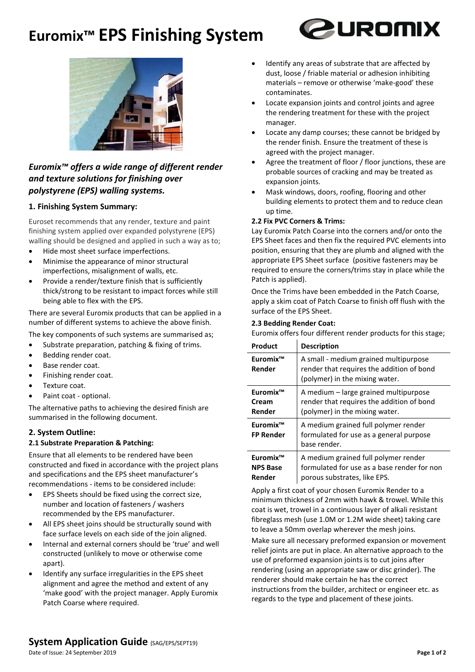# **Euromix™ EPS Finishing System**





### *Euromix™ offers a wide range of different render and texture solutions for finishing over polystyrene (EPS) walling systems.*

#### **1. Finishing System Summary:**

Euroset recommends that any render, texture and paint finishing system applied over expanded polystyrene (EPS) walling should be designed and applied in such a way as to;

- Hide most sheet surface imperfections.
- Minimise the appearance of minor structural imperfections, misalignment of walls, etc.
- Provide a render/texture finish that is sufficiently thick/strong to be resistant to impact forces while still being able to flex with the EPS.

There are several Euromix products that can be applied in a number of different systems to achieve the above finish.

The key components of such systems are summarised as;

- Substrate preparation, patching & fixing of trims.
- Bedding render coat.
- Base render coat.
- Finishing render coat.
- Texture coat.
- Paint coat optional.

The alternative paths to achieving the desired finish are summarised in the following document.

## **2. System Outline:**

#### **2.1 Substrate Preparation & Patching:**

Ensure that all elements to be rendered have been constructed and fixed in accordance with the project plans and specifications and the EPS sheet manufacturer's recommendations - items to be considered include:

- EPS Sheets should be fixed using the correct size, number and location of fasteners / washers recommended by the EPS manufacturer.
- All EPS sheet joins should be structurally sound with face surface levels on each side of the join aligned.
- Internal and external corners should be 'true' and well constructed (unlikely to move or otherwise come apart).
- Identify any surface irregularities in the EPS sheet alignment and agree the method and extent of any 'make good' with the project manager. Apply Euromix Patch Coarse where required.
- Identify any areas of substrate that are affected by dust, loose / friable material or adhesion inhibiting materials – remove or otherwise 'make-good' these contaminates.
- Locate expansion joints and control joints and agree the rendering treatment for these with the project manager.
- Locate any damp courses; these cannot be bridged by the render finish. Ensure the treatment of these is agreed with the project manager.
- Agree the treatment of floor / floor junctions, these are probable sources of cracking and may be treated as expansion joints.
- Mask windows, doors, roofing, flooring and other building elements to protect them and to reduce clean up time.

#### **2.2 Fix PVC Corners & Trims:**

Lay Euromix Patch Coarse into the corners and/or onto the EPS Sheet faces and then fix the required PVC elements into position, ensuring that they are plumb and aligned with the appropriate EPS Sheet surface (positive fasteners may be required to ensure the corners/trims stay in place while the Patch is applied).

Once the Trims have been embedded in the Patch Coarse, apply a skim coat of Patch Coarse to finish off flush with the surface of the EPS Sheet.

#### **2.3 Bedding Render Coat:**

| Euromix offers four different render products for this stage; |  |  |  |
|---------------------------------------------------------------|--|--|--|
|                                                               |  |  |  |

| Product                                           | <b>Description</b>                                                                                                   |
|---------------------------------------------------|----------------------------------------------------------------------------------------------------------------------|
| Euromix <sup>™</sup><br>Render                    | A small - medium grained multipurpose<br>render that requires the addition of bond<br>(polymer) in the mixing water. |
| Euromix <sup>™</sup><br>Cream<br>Render           | A medium - large grained multipurpose<br>render that requires the addition of bond<br>(polymer) in the mixing water. |
| Euromix <sup>™</sup><br><b>FP Render</b>          | A medium grained full polymer render<br>formulated for use as a general purpose<br>base render.                      |
| Euromix <sup>™</sup><br><b>NPS Base</b><br>Render | A medium grained full polymer render<br>formulated for use as a base render for non<br>porous substrates, like EPS.  |

Apply a first coat of your chosen Euromix Render to a minimum thickness of 2mm with hawk & trowel. While this coat is wet, trowel in a continuous layer of alkali resistant fibreglass mesh (use 1.0M or 1.2M wide sheet) taking care to leave a 50mm overlap wherever the mesh joins.

Make sure all necessary preformed expansion or movement relief joints are put in place. An alternative approach to the use of preformed expansion joints is to cut joins after rendering (using an appropriate saw or disc grinder). The renderer should make certain he has the correct instructions from the builder, architect or engineer etc. as regards to the type and placement of these joints.